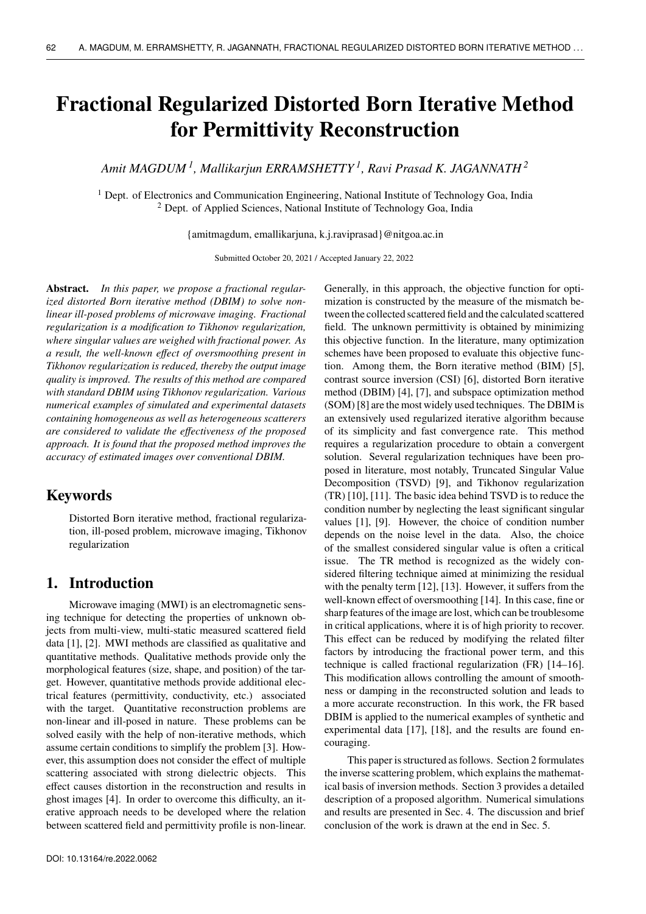# **Fractional Regularized Distorted Born Iterative Method for Permittivity Reconstruction**

*Amit MAGDUM <sup>1</sup> , Mallikarjun ERRAMSHETTY <sup>1</sup> , Ravi Prasad K. JAGANNATH <sup>2</sup>*

 $1$  Dept. of Electronics and Communication Engineering, National Institute of Technology Goa, India <sup>2</sup> Dept. of Applied Sciences, National Institute of Technology Goa, India

{amitmagdum, emallikarjuna, k.j.raviprasad}@nitgoa.ac.in

Submitted October 20, 2021 / Accepted January 22, 2022

**Abstract.** *In this paper, we propose a fractional regularized distorted Born iterative method (DBIM) to solve nonlinear ill-posed problems of microwave imaging. Fractional regularization is a modification to Tikhonov regularization, where singular values are weighed with fractional power. As a result, the well-known effect of oversmoothing present in Tikhonov regularization is reduced, thereby the output image quality is improved. The results of this method are compared with standard DBIM using Tikhonov regularization. Various numerical examples of simulated and experimental datasets containing homogeneous as well as heterogeneous scatterers are considered to validate the effectiveness of the proposed approach. It is found that the proposed method improves the accuracy of estimated images over conventional DBIM.*

### **Keywords**

Distorted Born iterative method, fractional regularization, ill-posed problem, microwave imaging, Tikhonov regularization

### **1. Introduction**

Microwave imaging (MWI) is an electromagnetic sensing technique for detecting the properties of unknown objects from multi-view, multi-static measured scattered field data [1], [2]. MWI methods are classified as qualitative and quantitative methods. Qualitative methods provide only the morphological features (size, shape, and position) of the target. However, quantitative methods provide additional electrical features (permittivity, conductivity, etc.) associated with the target. Quantitative reconstruction problems are non-linear and ill-posed in nature. These problems can be solved easily with the help of non-iterative methods, which assume certain conditions to simplify the problem [3]. However, this assumption does not consider the effect of multiple scattering associated with strong dielectric objects. This effect causes distortion in the reconstruction and results in ghost images [4]. In order to overcome this difficulty, an iterative approach needs to be developed where the relation between scattered field and permittivity profile is non-linear. Generally, in this approach, the objective function for optimization is constructed by the measure of the mismatch between the collected scattered field and the calculated scattered field. The unknown permittivity is obtained by minimizing this objective function. In the literature, many optimization schemes have been proposed to evaluate this objective function. Among them, the Born iterative method (BIM) [5], contrast source inversion (CSI) [6], distorted Born iterative method (DBIM) [4], [7], and subspace optimization method (SOM) [8] are the most widely used techniques. The DBIM is an extensively used regularized iterative algorithm because of its simplicity and fast convergence rate. This method requires a regularization procedure to obtain a convergent solution. Several regularization techniques have been proposed in literature, most notably, Truncated Singular Value Decomposition (TSVD) [9], and Tikhonov regularization (TR) [10], [11]. The basic idea behind TSVD is to reduce the condition number by neglecting the least significant singular values [1], [9]. However, the choice of condition number depends on the noise level in the data. Also, the choice of the smallest considered singular value is often a critical issue. The TR method is recognized as the widely considered filtering technique aimed at minimizing the residual with the penalty term [12], [13]. However, it suffers from the well-known effect of oversmoothing [14]. In this case, fine or sharp features of the image are lost, which can be troublesome in critical applications, where it is of high priority to recover. This effect can be reduced by modifying the related filter factors by introducing the fractional power term, and this technique is called fractional regularization (FR) [14–16]. This modification allows controlling the amount of smoothness or damping in the reconstructed solution and leads to a more accurate reconstruction. In this work, the FR based DBIM is applied to the numerical examples of synthetic and experimental data [17], [18], and the results are found encouraging.

This paper is structured as follows. Section 2 formulates the inverse scattering problem, which explains the mathematical basis of inversion methods. Section 3 provides a detailed description of a proposed algorithm. Numerical simulations and results are presented in Sec. 4. The discussion and brief conclusion of the work is drawn at the end in Sec. 5.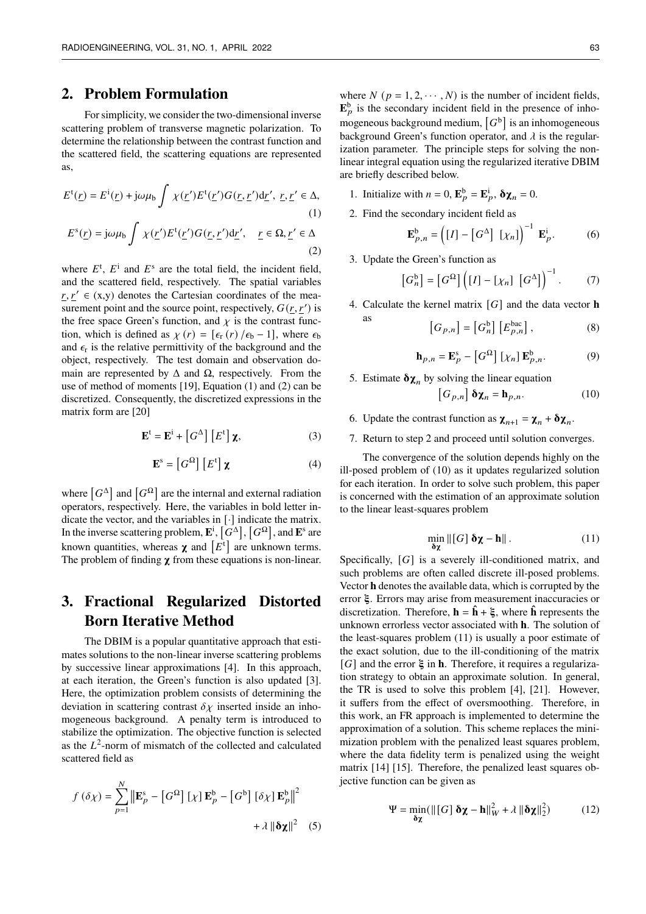### **2. Problem Formulation**

For simplicity, we consider the two-dimensional inverse scattering problem of transverse magnetic polarization. To determine the relationship between the contrast function and the scattered field, the scattering equations are represented as,

$$
E^{t}(\underline{r}) = E^{i}(\underline{r}) + j\omega\mu_{b} \int \chi(\underline{r}')E^{t}(\underline{r}')G(\underline{r}, \underline{r}')d\underline{r}', \ \underline{r}, \underline{r}' \in \Delta,
$$
  
(1)  

$$
E^{s}(\underline{r}) = j\omega\mu_{c} \int \chi(\underline{r}')E^{t}(\underline{r}')G(\underline{r}, \underline{r}')d\underline{r}', \ \underline{r} \in \Omega, \ \underline{r}' \in \Delta.
$$

$$
E^{s}(\underline{r}) = j\omega\mu_{b} \int \chi(\underline{r}')E^{t}(\underline{r}')G(\underline{r},\underline{r}')d\underline{r}', \quad \underline{r} \in \Omega, \underline{r}' \in \Delta
$$
\n(2)

where  $E^t$ ,  $E^i$  and  $E^s$  are the total field, the incident field, and the scattered field, respectively. The spatial variables  $r, r' \in (x,y)$  denotes the Cartesian coordinates of the measurement point and the source point, respectively,  $G(\underline{r}, \underline{r}')$  is the free space Green's function, and  $\chi$  is the contrast function, which is defined as  $\chi(r) = [\epsilon_{r}(r) / \epsilon_{b} - 1]$ , where  $\epsilon_{b}$ and  $\epsilon$ <sub>r</sub> is the relative permittivity of the background and the object, respectively. The test domain and observation domain are represented by  $\Delta$  and  $\Omega$ , respectively. From the use of method of moments [19], Equation (1) and (2) can be discretized. Consequently, the discretized expressions in the matrix form are [20]

$$
\mathbf{E}^{\mathrm{t}} = \mathbf{E}^{\mathrm{i}} + \left[G^{\Delta}\right] \left[E^{\mathrm{t}}\right] \boldsymbol{\chi},\tag{3}
$$

$$
\mathbf{E}^{\rm s} = \left[G^{\Omega}\right] \left[E^{\rm t}\right] \boldsymbol{\chi} \tag{4}
$$

where  $[G^{\Delta}]$  and  $[G^{\Omega}]$  are the internal and external radiation operators, respectively. Here, the variables in bold letter indicate the vector, and the variables in [·] indicate the matrix. In the inverse scattering problem,  $\mathbf{E}^i$ ,  $[G^{\Delta}]$ ,  $[G^{\Omega}]$ , and  $\mathbf{E}^s$  are known quantities, whereas  $\chi$  and  $[E^t]$  are unknown terms. The problem of finding  $\chi$  from these equations is non-linear.

## **3. Fractional Regularized Distorted Born Iterative Method**

The DBIM is a popular quantitative approach that estimates solutions to the non-linear inverse scattering problems by successive linear approximations [4]. In this approach, at each iteration, the Green's function is also updated [3]. Here, the optimization problem consists of determining the deviation in scattering contrast  $\delta \chi$  inserted inside an inhomogeneous background. A penalty term is introduced to stabilize the optimization. The objective function is selected as the  $L^2$ -norm of mismatch of the collected and calculated scattered field as

$$
f(\delta \chi) = \sum_{p=1}^{N} \left\| \mathbf{E}_p^s - \left[ G^{\Omega} \right] [\chi] \mathbf{E}_p^b - \left[ G^b \right] [\delta \chi] \mathbf{E}_p^b \right\|^2
$$

$$
+ \lambda \left\| \delta \chi \right\|^2 \quad (5)
$$

where  $N$  ( $p = 1, 2, \dots, N$ ) is the number of incident fields,  $\mathbf{E}_p^b$  is the secondary incident field in the presence of inhomogeneous background medium,  $[G^b]$  is an inhomogeneous background Green's function operator, and  $\lambda$  is the regularization parameter. The principle steps for solving the nonlinear integral equation using the regularized iterative DBIM are briefly described below.

- 1. Initialize with  $n = 0$ ,  $\mathbf{E}_p^{\text{b}} = \mathbf{E}_p^{\text{i}}$ ,  $\delta \chi_n = 0$ .
- 2. Find the secondary incident field as

$$
\mathbf{E}_{p,n}^{\mathsf{b}} = \left( [I] - [G^{\Delta}] [\chi_n] \right)^{-1} \mathbf{E}_p^{\mathsf{i}}.
$$
 (6)

3. Update the Green's function as

as

$$
\left[G_n^b\right] = \left[G^{\Omega}\right] \left( \left[I\right] - \left[\chi_n\right] \left[G^{\Delta}\right] \right)^{-1}.
$$
 (7)

4. Calculate the kernel matrix  $[G]$  and the data vector **h** 

$$
\[G_{p,n}\] = \left[G_n^b\right] \left[E_{p,n}^{bac}\right],\tag{8}
$$

$$
\mathbf{h}_{p,n} = \mathbf{E}_p^s - \left[G^{\Omega}\right] \left[\chi_n\right] \mathbf{E}_{p,n}^b. \tag{9}
$$

5. Estimate  $\delta \chi_n$  by solving the linear equation

$$
\left[G_{p,n}\right]\,\mathbf{\delta\chi}_{n}=\mathbf{h}_{p,n}.\tag{10}
$$

- 6. Update the contrast function as  $\chi_{n+1} = \chi_n + \delta \chi_n$ .
- 7. Return to step 2 and proceed until solution converges.

The convergence of the solution depends highly on the ill-posed problem of (10) as it updates regularized solution for each iteration. In order to solve such problem, this paper is concerned with the estimation of an approximate solution to the linear least-squares problem

$$
\min_{\delta \chi} \| [G] \, \delta \chi - \mathbf{h} \| \,. \tag{11}
$$

Specifically,  $[G]$  is a severely ill-conditioned matrix, and such problems are often called discrete ill-posed problems. Vector **h** denotes the available data, which is corrupted by the error  $\xi$ . Errors may arise from measurement inaccuracies or discretization. Therefore,  $\mathbf{h} = \hat{\mathbf{h}} + \xi$ , where  $\hat{\mathbf{h}}$  represents the unknown errorless vector associated with **h**. The solution of the least-squares problem (11) is usually a poor estimate of the exact solution, due to the ill-conditioning of the matrix  $[G]$  and the error  $\xi$  in **h**. Therefore, it requires a regularization strategy to obtain an approximate solution. In general, the TR is used to solve this problem [4], [21]. However, it suffers from the effect of oversmoothing. Therefore, in this work, an FR approach is implemented to determine the approximation of a solution. This scheme replaces the minimization problem with the penalized least squares problem, where the data fidelity term is penalized using the weight matrix [14] [15]. Therefore, the penalized least squares objective function can be given as

$$
\Psi = \min_{\delta \chi} (\| [G] \, \delta \chi - \mathbf{h} \|_{W}^{2} + \lambda \, \| \delta \chi \|_{2}^{2}) \tag{12}
$$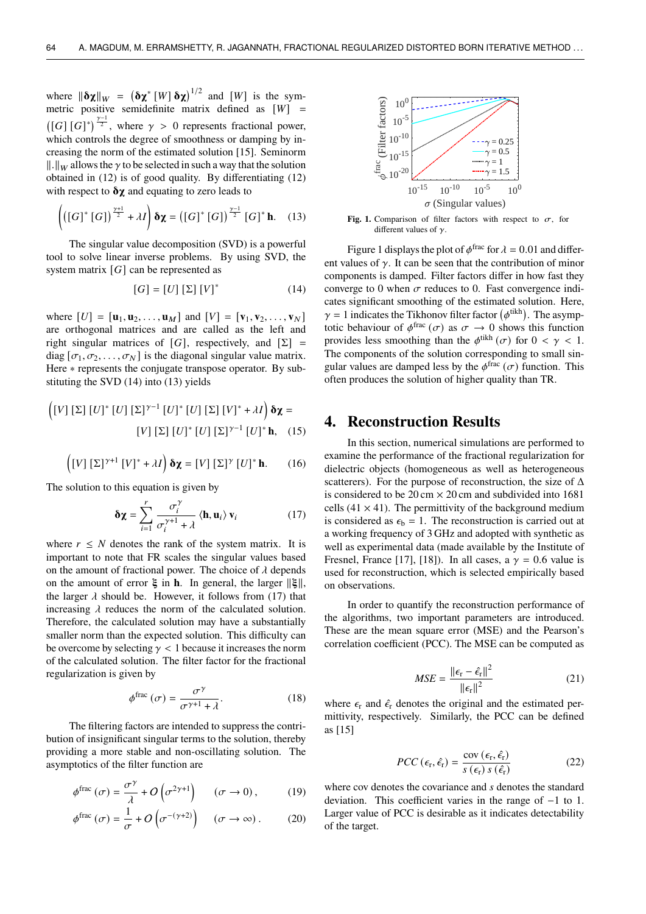where  $\|\mathbf{\delta \chi}\|_{W} = (\mathbf{\delta \chi}^{*}[W] \mathbf{\delta \chi})^{1/2}$  and  $[W]$  is the symmetric positive semidefinite matrix defined as  $[W] =$  $([G] [G]^*)^{\frac{\gamma-1}{2}}$ , where  $\gamma > 0$  represents fractional power, which controls the degree of smoothness or damping by increasing the norm of the estimated solution [15]. Seminorm  $\|\cdot\|_W$  allows the  $\gamma$  to be selected in such a way that the solution obtained in (12) is of good quality. By differentiating (12) with respect to  $\delta \chi$  and equating to zero leads to

$$
\left( \left( \left[ G \right]^* \left[ G \right] \right)^{\frac{\gamma+1}{2}} + \lambda I \right) \delta \chi = \left( \left[ G \right]^* \left[ G \right] \right)^{\frac{\gamma-1}{2}} \left[ G \right]^* \mathbf{h}. \quad (13)
$$

The singular value decomposition (SVD) is a powerful tool to solve linear inverse problems. By using SVD, the system matrix  $[G]$  can be represented as

$$
[G] = [U] [\Sigma] [V]^*
$$
 (14)

where  $[U] = [\mathbf{u}_1, \mathbf{u}_2, \dots, \mathbf{u}_M]$  and  $[V] = [\mathbf{v}_1, \mathbf{v}_2, \dots, \mathbf{v}_N]$ are orthogonal matrices and are called as the left and right singular matrices of [G], respectively, and  $[\Sigma] =$ diag  $[\sigma_1, \sigma_2, \ldots, \sigma_N]$  is the diagonal singular value matrix. Here ∗ represents the conjugate transpose operator. By substituting the SVD (14) into (13) yields

$$
\left( [V] [\Sigma] [U]^* [U] [\Sigma]^{\gamma - 1} [U]^* [U] [\Sigma] [V]^* + \lambda I \right) \mathbf{\delta} \mathbf{\chi} =
$$

$$
[V] [\Sigma] [U]^* [U] [\Sigma]^{\gamma - 1} [U]^* \mathbf{h}, \quad (15)
$$

$$
\left( \left[ V \right] \left[ \Sigma \right] ^{\gamma+1} \left[ V \right] ^{*} + \lambda I \right) \mathbf{\delta \chi} = \left[ V \right] \left[ \Sigma \right] ^{\gamma} \left[ U \right] ^{*} \mathbf{h}. \tag{16}
$$

The solution to this equation is given by

$$
\delta \chi = \sum_{i=1}^{r} \frac{\sigma_i^{\gamma}}{\sigma_i^{\gamma+1} + \lambda} \langle \mathbf{h}, \mathbf{u}_i \rangle \, \mathbf{v}_i \tag{17}
$$

where  $r \leq N$  denotes the rank of the system matrix. It is important to note that FR scales the singular values based on the amount of fractional power. The choice of  $\lambda$  depends on the amount of error  $\xi$  in **h**. In general, the larger  $||\xi||$ , the larger  $\lambda$  should be. However, it follows from (17) that increasing  $\lambda$  reduces the norm of the calculated solution. Therefore, the calculated solution may have a substantially smaller norm than the expected solution. This difficulty can be overcome by selecting  $\gamma$  < 1 because it increases the norm of the calculated solution. The filter factor for the fractional regularization is given by

$$
\phi^{\text{frac}}(\sigma) = \frac{\sigma^{\gamma}}{\sigma^{\gamma+1} + \lambda}.
$$
 (18)

The filtering factors are intended to suppress the contribution of insignificant singular terms to the solution, thereby providing a more stable and non-oscillating solution. The asymptotics of the filter function are

$$
\phi^{\text{frac}}(\sigma) = \frac{\sigma^{\gamma}}{\lambda} + O\left(\sigma^{2\gamma+1}\right) \quad (\sigma \to 0), \tag{19}
$$

$$
\phi^{\text{frac}}(\sigma) = \frac{1}{\sigma} + O\left(\sigma^{-(\gamma+2)}\right) \quad (\sigma \to \infty). \tag{20}
$$



Fig. 1. Comparison of filter factors with respect to  $\sigma$ , for different values of  $\gamma$ .

Figure 1 displays the plot of  $\phi$ <sup>frac</sup> for  $\lambda = 0.01$  and different values of  $\gamma$ . It can be seen that the contribution of minor components is damped. Filter factors differ in how fast they converge to 0 when  $\sigma$  reduces to 0. Fast convergence indicates significant smoothing of the estimated solution. Here,  $\gamma = 1$  indicates the Tikhonov filter factor  $(\phi^{\text{tikh}})$ . The asymptotic behaviour of  $\phi^{\text{frac}}(\sigma)$  as  $\sigma \to 0$  shows this function provides less smoothing than the  $\phi^{\text{tikh}}(\sigma)$  for  $0 < \gamma < 1$ . The components of the solution corresponding to small singular values are damped less by the  $\phi^{\text{frac}}(\sigma)$  function. This often produces the solution of higher quality than TR.

### **4. Reconstruction Results**

In this section, numerical simulations are performed to examine the performance of the fractional regularization for dielectric objects (homogeneous as well as heterogeneous scatterers). For the purpose of reconstruction, the size of  $\Delta$ is considered to be  $20 \text{ cm} \times 20 \text{ cm}$  and subdivided into 1681 cells  $(41 \times 41)$ . The permittivity of the background medium is considered as  $\epsilon_b = 1$ . The reconstruction is carried out at a working frequency of 3 GHz and adopted with synthetic as well as experimental data (made available by the Institute of Fresnel, France [17], [18]). In all cases, a  $\gamma = 0.6$  value is used for reconstruction, which is selected empirically based on observations.

In order to quantify the reconstruction performance of the algorithms, two important parameters are introduced. These are the mean square error (MSE) and the Pearson's correlation coefficient (PCC). The MSE can be computed as

$$
MSE = \frac{\|\epsilon_{\rm r} - \hat{\epsilon}_{\rm r}\|^2}{\|\epsilon_{\rm r}\|^2}
$$
 (21)

where  $\epsilon_r$  and  $\hat{\epsilon}_r$  denotes the original and the estimated permittivity, respectively. Similarly, the PCC can be defined as [15]

$$
PCC\left(\epsilon_{\rm r}, \hat{\epsilon}_{\rm r}\right) = \frac{\text{cov}\left(\epsilon_{\rm r}, \hat{\epsilon}_{\rm r}\right)}{s\left(\epsilon_{\rm r}\right) s\left(\hat{\epsilon}_{\rm r}\right)}\tag{22}
$$

where cov denotes the covariance and  $s$  denotes the standard deviation. This coefficient varies in the range of −1 to 1. Larger value of PCC is desirable as it indicates detectability of the target.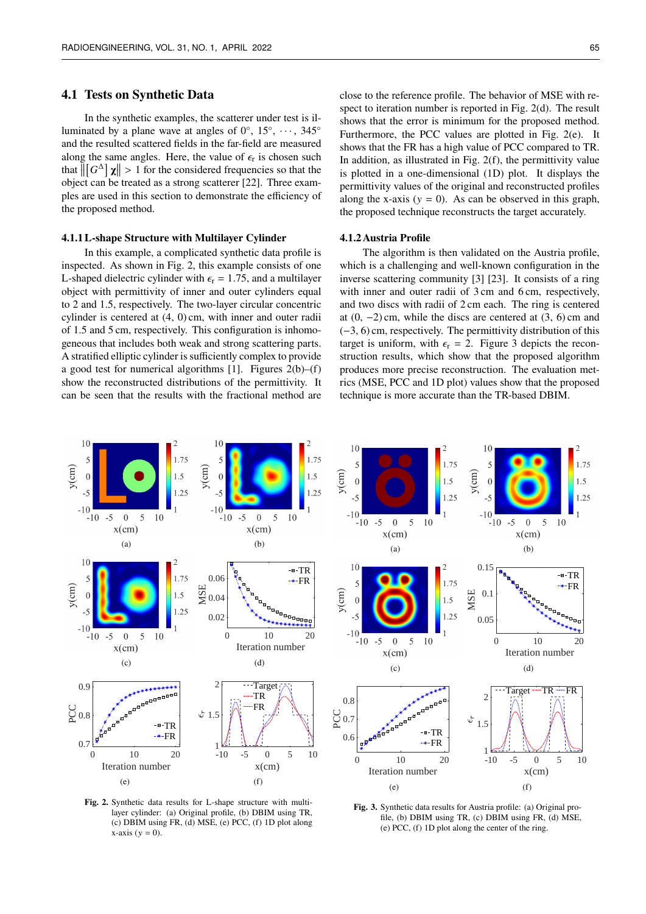#### **4.1 Tests on Synthetic Data**

In the synthetic examples, the scatterer under test is illuminated by a plane wave at angles of  $0^{\circ}$ ,  $15^{\circ}$ ,  $\cdots$ ,  $345^{\circ}$ and the resulted scattered fields in the far-field are measured along the same angles. Here, the value of  $\epsilon_{r}$  is chosen such that  $\left\| \left[ G^{\Delta} \right] \chi \right\| > 1$  for the considered frequencies so that the object can be treated as a strong scatterer [22]. Three examples are used in this section to demonstrate the efficiency of the proposed method.

#### **4.1.1 L-shape Structure with Multilayer Cylinder**

In this example, a complicated synthetic data profile is inspected. As shown in Fig. 2, this example consists of one L-shaped dielectric cylinder with  $\epsilon$ <sub>r</sub> = 1.75, and a multilayer object with permittivity of inner and outer cylinders equal to 2 and 1.5, respectively. The two-layer circular concentric cylinder is centered at (4, 0) cm, with inner and outer radii of 1.5 and 5 cm, respectively. This configuration is inhomogeneous that includes both weak and strong scattering parts. A stratified elliptic cylinder is sufficiently complex to provide a good test for numerical algorithms [1]. Figures  $2(b)$ –(f) show the reconstructed distributions of the permittivity. It can be seen that the results with the fractional method are

close to the reference profile. The behavior of MSE with respect to iteration number is reported in Fig. 2(d). The result shows that the error is minimum for the proposed method. Furthermore, the PCC values are plotted in Fig. 2(e). It shows that the FR has a high value of PCC compared to TR. In addition, as illustrated in Fig.  $2(f)$ , the permittivity value is plotted in a one-dimensional (1D) plot. It displays the permittivity values of the original and reconstructed profiles along the x-axis ( $y = 0$ ). As can be observed in this graph, the proposed technique reconstructs the target accurately.

#### **4.1.2 Austria Profile**

The algorithm is then validated on the Austria profile, which is a challenging and well-known configuration in the inverse scattering community [3] [23]. It consists of a ring with inner and outer radii of 3 cm and 6 cm, respectively, and two discs with radii of 2 cm each. The ring is centered at  $(0, -2)$  cm, while the discs are centered at  $(3, 6)$  cm and (−3, 6) cm, respectively. The permittivity distribution of this target is uniform, with  $\epsilon_r = 2$ . Figure 3 depicts the reconstruction results, which show that the proposed algorithm produces more precise reconstruction. The evaluation metrics (MSE, PCC and 1D plot) values show that the proposed technique is more accurate than the TR-based DBIM.



**Fig. 2.** Synthetic data results for L-shape structure with multilayer cylinder: (a) Original profile, (b) DBIM using TR, (c) DBIM using FR, (d) MSE, (e) PCC, (f) 1D plot along  $x$ -axis ( $y = 0$ ).

**Fig. 3.** Synthetic data results for Austria profile: (a) Original profile, (b) DBIM using TR, (c) DBIM using FR, (d) MSE, (e) PCC, (f) 1D plot along the center of the ring.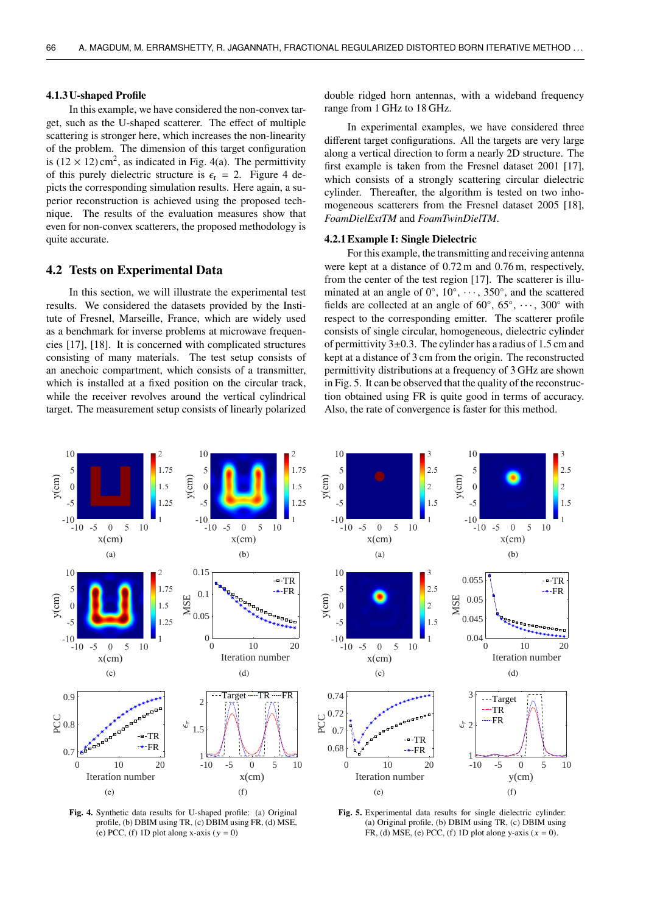#### **4.1.3 U-shaped Profile**

In this example, we have considered the non-convex target, such as the U-shaped scatterer. The effect of multiple scattering is stronger here, which increases the non-linearity of the problem. The dimension of this target configuration is  $(12 \times 12)$  cm<sup>2</sup>, as indicated in Fig. 4(a). The permittivity of this purely dielectric structure is  $\epsilon_{r} = 2$ . Figure 4 depicts the corresponding simulation results. Here again, a superior reconstruction is achieved using the proposed technique. The results of the evaluation measures show that even for non-convex scatterers, the proposed methodology is quite accurate.

#### **4.2 Tests on Experimental Data**

In this section, we will illustrate the experimental test results. We considered the datasets provided by the Institute of Fresnel, Marseille, France, which are widely used as a benchmark for inverse problems at microwave frequencies [17], [18]. It is concerned with complicated structures consisting of many materials. The test setup consists of an anechoic compartment, which consists of a transmitter, which is installed at a fixed position on the circular track, while the receiver revolves around the vertical cylindrical target. The measurement setup consists of linearly polarized

double ridged horn antennas, with a wideband frequency range from 1 GHz to 18 GHz.

In experimental examples, we have considered three different target configurations. All the targets are very large along a vertical direction to form a nearly 2D structure. The first example is taken from the Fresnel dataset 2001 [17], which consists of a strongly scattering circular dielectric cylinder. Thereafter, the algorithm is tested on two inhomogeneous scatterers from the Fresnel dataset 2005 [18], *FoamDielExtTM* and *FoamTwinDielTM*.

#### **4.2.1 Example I: Single Dielectric**

For this example, the transmitting and receiving antenna were kept at a distance of 0.72 m and 0.76 m, respectively, from the center of the test region [17]. The scatterer is illuminated at an angle of  $0^\circ$ ,  $10^\circ$ ,  $\cdots$ ,  $350^\circ$ , and the scattered fields are collected at an angle of  $60^\circ$ ,  $65^\circ$ ,  $\dots$ ,  $300^\circ$  with respect to the corresponding emitter. The scatterer profile consists of single circular, homogeneous, dielectric cylinder of permittivity  $3\pm 0.3$ . The cylinder has a radius of 1.5 cm and kept at a distance of 3 cm from the origin. The reconstructed permittivity distributions at a frequency of 3 GHz are shown in Fig. 5. It can be observed that the quality of the reconstruction obtained using FR is quite good in terms of accuracy. Also, the rate of convergence is faster for this method.



**Fig. 4.** Synthetic data results for U-shaped profile: (a) Original profile, (b) DBIM using TR, (c) DBIM using FR, (d) MSE, (e) PCC, (f) 1D plot along x-axis ( $y = 0$ )

**Fig. 5.** Experimental data results for single dielectric cylinder: (a) Original profile, (b) DBIM using TR, (c) DBIM using FR, (d) MSE, (e) PCC, (f) 1D plot along y-axis  $(x = 0)$ .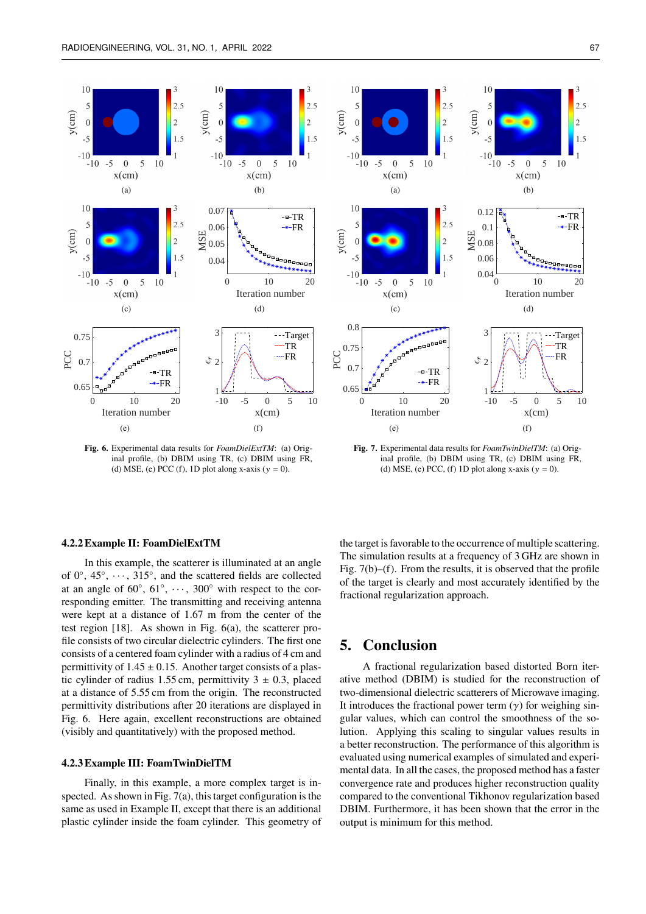

**Fig. 6.** Experimental data results for *FoamDielExtTM*: (a) Original profile, (b) DBIM using TR, (c) DBIM using FR, (d) MSE, (e) PCC (f), 1D plot along x-axis ( $y = 0$ ).



**Fig. 7.** Experimental data results for *FoamTwinDielTM*: (a) Original profile, (b) DBIM using TR, (c) DBIM using FR, (d) MSE, (e) PCC, (f) 1D plot along x-axis  $(y = 0)$ .

#### **4.2.2 Example II: FoamDielExtTM**

In this example, the scatterer is illuminated at an angle of  $0^\circ$ ,  $45^\circ$ ,  $\cdots$ ,  $315^\circ$ , and the scattered fields are collected at an angle of  $60^{\circ}$ ,  $61^{\circ}$ ,  $\dots$ ,  $300^{\circ}$  with respect to the corresponding emitter. The transmitting and receiving antenna were kept at a distance of 1.67 m from the center of the test region [18]. As shown in Fig. 6(a), the scatterer profile consists of two circular dielectric cylinders. The first one consists of a centered foam cylinder with a radius of 4 cm and permittivity of  $1.45 \pm 0.15$ . Another target consists of a plastic cylinder of radius 1.55 cm, permittivity  $3 \pm 0.3$ , placed at a distance of 5.55 cm from the origin. The reconstructed permittivity distributions after 20 iterations are displayed in Fig. 6. Here again, excellent reconstructions are obtained (visibly and quantitatively) with the proposed method.

#### **4.2.3 Example III: FoamTwinDielTM**

Finally, in this example, a more complex target is inspected. As shown in Fig. 7(a), this target configuration is the same as used in Example II, except that there is an additional plastic cylinder inside the foam cylinder. This geometry of the target is favorable to the occurrence of multiple scattering. The simulation results at a frequency of 3 GHz are shown in Fig. 7(b)–(f). From the results, it is observed that the profile of the target is clearly and most accurately identified by the fractional regularization approach.

### **5. Conclusion**

A fractional regularization based distorted Born iterative method (DBIM) is studied for the reconstruction of two-dimensional dielectric scatterers of Microwave imaging. It introduces the fractional power term  $(y)$  for weighing singular values, which can control the smoothness of the solution. Applying this scaling to singular values results in a better reconstruction. The performance of this algorithm is evaluated using numerical examples of simulated and experimental data. In all the cases, the proposed method has a faster convergence rate and produces higher reconstruction quality compared to the conventional Tikhonov regularization based DBIM. Furthermore, it has been shown that the error in the output is minimum for this method.